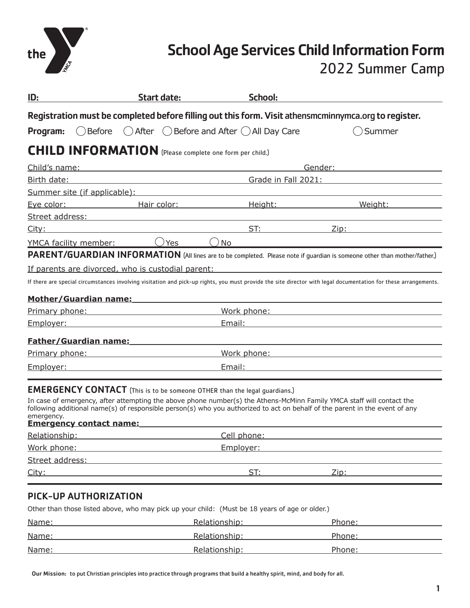

# School Age Services Child Information Form

### 2022 Summer Camp

| ID:                                                                                                                                                                                                        | <b>Start date:</b>                                                                                                   | <b>School:</b>                                                                                                                                                                                                                                       |                                                                                                                                                                                                                                |
|------------------------------------------------------------------------------------------------------------------------------------------------------------------------------------------------------------|----------------------------------------------------------------------------------------------------------------------|------------------------------------------------------------------------------------------------------------------------------------------------------------------------------------------------------------------------------------------------------|--------------------------------------------------------------------------------------------------------------------------------------------------------------------------------------------------------------------------------|
|                                                                                                                                                                                                            |                                                                                                                      | Registration must be completed before filling out this form. Visit athensmcminnymca.org to register.                                                                                                                                                 |                                                                                                                                                                                                                                |
| Before<br>Program:                                                                                                                                                                                         |                                                                                                                      | $\bigcirc$ After $\bigcirc$ Before and After $\bigcirc$ All Day Care                                                                                                                                                                                 | Summer                                                                                                                                                                                                                         |
| <b>CHILD INFORMATION</b> (Please complete one form per child.)                                                                                                                                             |                                                                                                                      |                                                                                                                                                                                                                                                      |                                                                                                                                                                                                                                |
| Child's name:                                                                                                                                                                                              |                                                                                                                      |                                                                                                                                                                                                                                                      | Gender:                                                                                                                                                                                                                        |
| Birth date:                                                                                                                                                                                                | Grade in Fall 2021:<br><u> 1989 - Johann Barbara, martxa eta politikar</u>                                           |                                                                                                                                                                                                                                                      |                                                                                                                                                                                                                                |
|                                                                                                                                                                                                            |                                                                                                                      | Summer site (if applicable): Note and the same state of the state of the state of the state of the state of the state of the state of the state of the state of the state of the state of the state of the state of the state                        |                                                                                                                                                                                                                                |
|                                                                                                                                                                                                            |                                                                                                                      | Eye color: The Hair color: The Height: The Meight: Neight:                                                                                                                                                                                           |                                                                                                                                                                                                                                |
| Street address: Management of the Street address:                                                                                                                                                          |                                                                                                                      |                                                                                                                                                                                                                                                      |                                                                                                                                                                                                                                |
| City:                                                                                                                                                                                                      |                                                                                                                      |                                                                                                                                                                                                                                                      | ST: <u>Zip: Zip:</u>                                                                                                                                                                                                           |
| YMCA facility member:                                                                                                                                                                                      | $\bigcap$ Yes $\_\_$                                                                                                 | No.                                                                                                                                                                                                                                                  |                                                                                                                                                                                                                                |
|                                                                                                                                                                                                            |                                                                                                                      |                                                                                                                                                                                                                                                      | PARENT/GUARDIAN INFORMATION (All lines are to be completed. Please note if guardian is someone other than mother/father.)                                                                                                      |
| If parents are divorced, who is custodial parent:                                                                                                                                                          |                                                                                                                      |                                                                                                                                                                                                                                                      |                                                                                                                                                                                                                                |
|                                                                                                                                                                                                            |                                                                                                                      |                                                                                                                                                                                                                                                      | If there are special circumstances involving visitation and pick-up rights, you must provide the site director with legal documentation for these arrangements.                                                                |
|                                                                                                                                                                                                            |                                                                                                                      |                                                                                                                                                                                                                                                      |                                                                                                                                                                                                                                |
| Mother/Guardian name:                                                                                                                                                                                      |                                                                                                                      |                                                                                                                                                                                                                                                      |                                                                                                                                                                                                                                |
| <u>Primary phone:</u>                                                                                                                                                                                      |                                                                                                                      |                                                                                                                                                                                                                                                      | Work phone: Work and the state of the state of the state of the state of the state of the state of the state of the state of the state of the state of the state of the state of the state of the state of the state of the st |
| Employer:                                                                                                                                                                                                  |                                                                                                                      |                                                                                                                                                                                                                                                      | Email: Email: Email: Email: Email: Email: Email: Email: Email: Email: Email: Email: Email: Email: Email: Email: Email: Email: Email: Email: Email: Email: Email: Email: Email: Email: Email: Email: Email: Email: Email: Email |
| Father/Guardian name: The Contract of the Contract of Table                                                                                                                                                |                                                                                                                      |                                                                                                                                                                                                                                                      |                                                                                                                                                                                                                                |
| <b>Primary phone: Primary phone: Primary phone: Primary phone: Primary phone: Primary phone: Primary phone: Primary phone: Primary phone: Primary phone: Primary phone: Primary phone: Primary phone: </b> |                                                                                                                      |                                                                                                                                                                                                                                                      | Work phone: Work and the state of the state of the state of the state of the state of the state of the state of the state of the state of the state of the state of the state of the state of the state of the state of the st |
| Employer:                                                                                                                                                                                                  | <u> 1989 - Johann Barn, mars ann an t-Amhain Aonaich an t-Aonaich an t-Aonaich ann an t-Aonaich ann an t-Aonaich</u> | Email:                                                                                                                                                                                                                                               |                                                                                                                                                                                                                                |
|                                                                                                                                                                                                            |                                                                                                                      |                                                                                                                                                                                                                                                      |                                                                                                                                                                                                                                |
| <b>EMERGENCY CONTACT</b> (This is to be someone OTHER than the legal guardians.)<br>emergency.<br><b>Emergency contact name:</b>                                                                           |                                                                                                                      | In case of emergency, after attempting the above phone number(s) the Athens-McMinn Family YMCA staff will contact the<br>following additional name(s) of responsible person(s) who you authorized to act on behalf of the parent in the event of any |                                                                                                                                                                                                                                |
| Relationship: The contract of the contract of the contract of the contract of the contract of the contract of                                                                                              |                                                                                                                      |                                                                                                                                                                                                                                                      | Cell phone: <u>cell</u> phone:                                                                                                                                                                                                 |
| Work phone:                                                                                                                                                                                                |                                                                                                                      | Employer:                                                                                                                                                                                                                                            |                                                                                                                                                                                                                                |
| Street address:                                                                                                                                                                                            |                                                                                                                      |                                                                                                                                                                                                                                                      |                                                                                                                                                                                                                                |
| City:                                                                                                                                                                                                      |                                                                                                                      | ST:                                                                                                                                                                                                                                                  | Zip:                                                                                                                                                                                                                           |

### PICK-UP AUTHORIZATION

Other than those listed above, who may pick up your child: (Must be 18 years of age or older.)

| Name: | Relationship: | Phone: |
|-------|---------------|--------|
| Name: | Relationship: | Phone: |
| Name: | Relationship: | Phone: |

Our Mission: to put Christian principles into practice through programs that build a healthy spirit, mind, and body for all.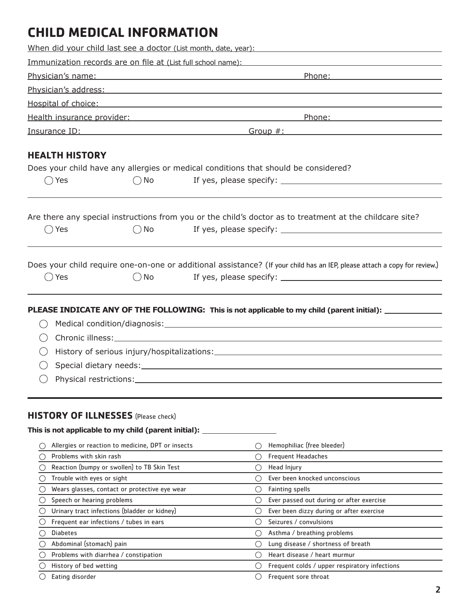## **CHILD MEDICAL INFORMATION**

|                                                        |                                                   | When did your child last see a doctor (List month, date, year):                                                                                                                                                                                                                                                                                 |
|--------------------------------------------------------|---------------------------------------------------|-------------------------------------------------------------------------------------------------------------------------------------------------------------------------------------------------------------------------------------------------------------------------------------------------------------------------------------------------|
|                                                        |                                                   | Immunization records are on file at (List full school name):                                                                                                                                                                                                                                                                                    |
|                                                        |                                                   | Physician's name: experience of the state of the state of the state of the state of the state of the state of<br>Phone: The Contract of the Contract of the Contract of the Contract of the Contract of the Contract of the Contract of the Contract of the Contract of the Contract of the Contract of the Contract of the Contract of the Con |
|                                                        |                                                   | Physician's address: experience of the state of the state of the state of the state of the state of the state of the state of the state of the state of the state of the state of the state of the state of the state of the s                                                                                                                  |
|                                                        |                                                   | Hospital of choice: New York Changes and Changes and Changes and Changes and Changes and Changes and Changes and Changes and Changes and Changes and Changes and Changes and Changes and Changes and Changes and Changes and C                                                                                                                  |
|                                                        |                                                   | <u>Health insurance provider:</u> Note that the set of the set of the set of the set of the set of the set of the set of the set of the set of the set of the set of the set of the set of the set of the set of the set of the set                                                                                                             |
|                                                        |                                                   |                                                                                                                                                                                                                                                                                                                                                 |
|                                                        |                                                   | <u>Insurance ID:</u> Separate ID: Separate ID: Separate ID: Separate ID: Separate ID: Separate ID: Separate ID: Separate ID: Separate ID: Separate ID: Separate ID: Separate ID: Separate ID: Separate ID: Separate ID: Separate ID                                                                                                             |
| <b>HEALTH HISTORY</b>                                  |                                                   |                                                                                                                                                                                                                                                                                                                                                 |
|                                                        |                                                   | Does your child have any allergies or medical conditions that should be considered?                                                                                                                                                                                                                                                             |
| Yes                                                    | $()$ No                                           |                                                                                                                                                                                                                                                                                                                                                 |
|                                                        |                                                   |                                                                                                                                                                                                                                                                                                                                                 |
|                                                        |                                                   |                                                                                                                                                                                                                                                                                                                                                 |
|                                                        |                                                   | Are there any special instructions from you or the child's doctor as to treatment at the childcare site?                                                                                                                                                                                                                                        |
| Yes<br>$($ )                                           | $\bigcirc$ No                                     |                                                                                                                                                                                                                                                                                                                                                 |
|                                                        |                                                   |                                                                                                                                                                                                                                                                                                                                                 |
|                                                        |                                                   |                                                                                                                                                                                                                                                                                                                                                 |
|                                                        |                                                   | Does your child require one-on-one or additional assistance? (If your child has an IEP, please attach a copy for review.)                                                                                                                                                                                                                       |
| $\bigcirc$ Yes                                         | $()$ No                                           |                                                                                                                                                                                                                                                                                                                                                 |
|                                                        |                                                   |                                                                                                                                                                                                                                                                                                                                                 |
|                                                        |                                                   | PLEASE INDICATE ANY OF THE FOLLOWING: This is not applicable to my child (parent initial): _________                                                                                                                                                                                                                                            |
|                                                        |                                                   |                                                                                                                                                                                                                                                                                                                                                 |
|                                                        |                                                   |                                                                                                                                                                                                                                                                                                                                                 |
|                                                        |                                                   |                                                                                                                                                                                                                                                                                                                                                 |
|                                                        |                                                   | History of serious injury/hospitalizations: National Community of Serious Community of Serious Community of Se                                                                                                                                                                                                                                  |
|                                                        |                                                   |                                                                                                                                                                                                                                                                                                                                                 |
|                                                        |                                                   |                                                                                                                                                                                                                                                                                                                                                 |
|                                                        |                                                   |                                                                                                                                                                                                                                                                                                                                                 |
|                                                        |                                                   |                                                                                                                                                                                                                                                                                                                                                 |
| <b>HISTORY OF ILLNESSES</b> (Please check)             |                                                   |                                                                                                                                                                                                                                                                                                                                                 |
| This is not applicable to my child (parent initial): _ |                                                   |                                                                                                                                                                                                                                                                                                                                                 |
|                                                        | Allergies or reaction to medicine, DPT or insects | Hemophiliac (free bleeder)                                                                                                                                                                                                                                                                                                                      |
| Problems with skin rash                                |                                                   | <b>Frequent Headaches</b><br>$\left(\begin{array}{c} \end{array}\right)$                                                                                                                                                                                                                                                                        |
|                                                        | Reaction (bumpy or swollen) to TB Skin Test       | Head Injury<br>( )                                                                                                                                                                                                                                                                                                                              |
| Trouble with eyes or sight                             |                                                   | Ever been knocked unconscious<br>( )                                                                                                                                                                                                                                                                                                            |
|                                                        | Wears glasses, contact or protective eye wear     | $\left( \ \right)$<br><b>Fainting spells</b>                                                                                                                                                                                                                                                                                                    |
| Speech or hearing problems                             |                                                   | Ever passed out during or after exercise<br>$\left( \ \right)$                                                                                                                                                                                                                                                                                  |
|                                                        | Urinary tract infections (bladder or kidney)      | Ever been dizzy during or after exercise<br>$\bigcirc$                                                                                                                                                                                                                                                                                          |
|                                                        | Frequent ear infections / tubes in ears           | Seizures / convulsions<br>$\left( \ \right)$                                                                                                                                                                                                                                                                                                    |
| <b>Diabetes</b>                                        |                                                   | Asthma / breathing problems<br>$\left( \ \right)$                                                                                                                                                                                                                                                                                               |
| Abdominal (stomach) pain                               |                                                   | Lung disease / shortness of breath<br>$\left(\begin{array}{c} \end{array}\right)$                                                                                                                                                                                                                                                               |
| Problems with diarrhea / constipation                  |                                                   | Heart disease / heart murmur                                                                                                                                                                                                                                                                                                                    |
| History of bed wetting                                 |                                                   | Frequent colds / upper respiratory infections<br>$\left( \ \right)$                                                                                                                                                                                                                                                                             |
| Eating disorder                                        |                                                   | $\bigcirc$ Frequent sore throat                                                                                                                                                                                                                                                                                                                 |